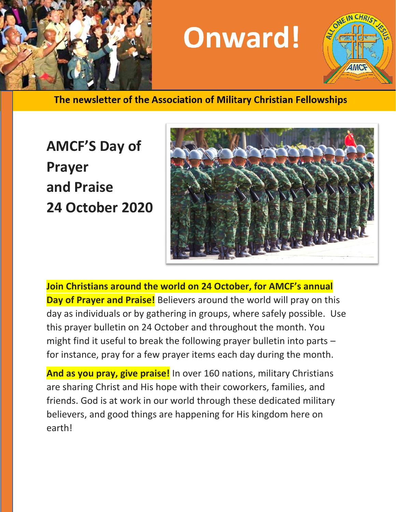

# **Onward!**



The newsletter of the Association of Military Christian Fellowships

## **AMCF'S Day of Prayer and Praise 24 October 2020**



**Join Christians around the world on 24 October, for AMCF's annual Day of Prayer and Praise!** Believers around the world will pray on this day as individuals or by gathering in groups, where safely possible. Use this prayer bulletin on 24 October and throughout the month. You might find it useful to break the following prayer bulletin into parts – for instance, pray for a few prayer items each day during the month.

**And as you pray, give praise!** In over 160 nations, military Christians are sharing Christ and His hope with their coworkers, families, and friends. God is at work in our world through these dedicated military believers, and good things are happening for His kingdom here on earth!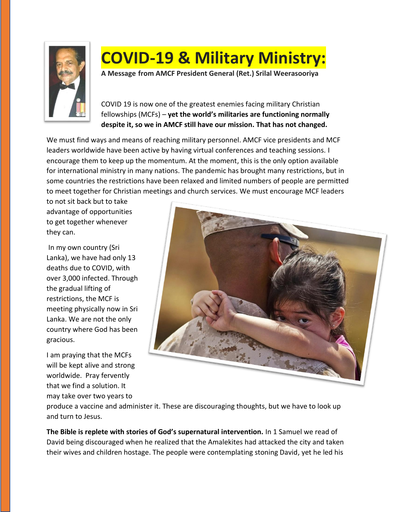

### **COVID-19 & Military Ministry:**

**A Message from AMCF President General (Ret.) Srilal Weerasooriya**

COVID 19 is now one of the greatest enemies facing military Christian fellowships (MCFs) – **yet the world's militaries are functioning normally despite it, so we in AMCF still have our mission. That has not changed.** 

We must find ways and means of reaching military personnel. AMCF vice presidents and MCF leaders worldwide have been active by having virtual conferences and teaching sessions. I encourage them to keep up the momentum. At the moment, this is the only option available for international ministry in many nations. The pandemic has brought many restrictions, but in some countries the restrictions have been relaxed and limited numbers of people are permitted to meet together for Christian meetings and church services. We must encourage MCF leaders

to not sit back but to take advantage of opportunities to get together whenever they can.

In my own country (Sri Lanka), we have had only 13 deaths due to COVID, with over 3,000 infected. Through the gradual lifting of restrictions, the MCF is meeting physically now in Sri Lanka. We are not the only country where God has been gracious.

I am praying that the MCFs will be kept alive and strong worldwide. Pray fervently that we find a solution. It may take over two years to



produce a vaccine and administer it. These are discouraging thoughts, but we have to look up and turn to Jesus.

**The Bible is replete with stories of God's supernatural intervention.** In 1 Samuel we read of David being discouraged when he realized that the Amalekites had attacked the city and taken their wives and children hostage. The people were contemplating stoning David, yet he led his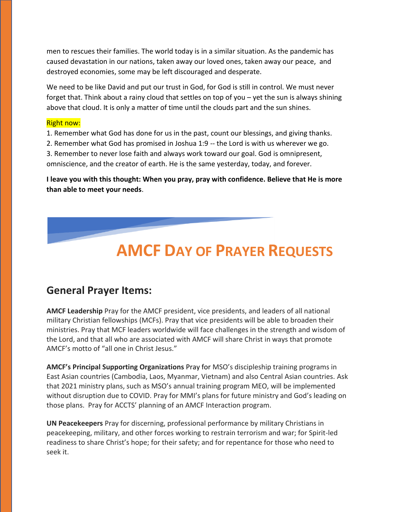men to rescues their families. The world today is in a similar situation. As the pandemic has caused devastation in our nations, taken away our loved ones, taken away our peace, and destroyed economies, some may be left discouraged and desperate.

We need to be like David and put our trust in God, for God is still in control. We must never forget that. Think about a rainy cloud that settles on top of you – yet the sun is always shining above that cloud. It is only a matter of time until the clouds part and the sun shines.

#### Right now:

1. Remember what God has done for us in the past, count our blessings, and giving thanks.

2. Remember what God has promised in Joshua 1:9 -- the Lord is with us wherever we go. 3. Remember to never lose faith and always work toward our goal. God is omnipresent,

omniscience, and the creator of earth. He is the same yesterday, today, and forever.

**I leave you with this thought: When you pray, pray with confidence. Believe that He is more than able to meet your needs**.

### **AMCF DAY OF PRAYER REQUESTS**

### **General Prayer Items:**

**AMCF Leadership** Pray for the AMCF president, vice presidents, and leaders of all national military Christian fellowships (MCFs). Pray that vice presidents will be able to broaden their ministries. Pray that MCF leaders worldwide will face challenges in the strength and wisdom of the Lord, and that all who are associated with AMCF will share Christ in ways that promote AMCF's motto of "all one in Christ Jesus."

**AMCF's Principal Supporting Organizations** Pray for MSO's discipleship training programs in East Asian countries (Cambodia, Laos, Myanmar, Vietnam) and also Central Asian countries. Ask that 2021 ministry plans, such as MSO's annual training program MEO, will be implemented without disruption due to COVID. Pray for MMI's plans for future ministry and God's leading on those plans. Pray for ACCTS' planning of an AMCF Interaction program.

**UN Peacekeepers** Pray for discerning, professional performance by military Christians in peacekeeping, military, and other forces working to restrain terrorism and war; for Spirit-led readiness to share Christ's hope; for their safety; and for repentance for those who need to seek it.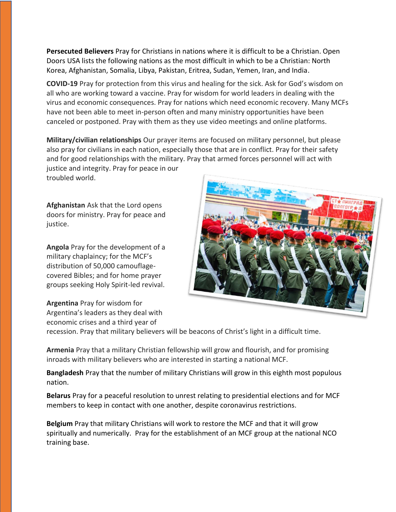**Persecuted Believers** Pray for Christians in nations where it is difficult to be a Christian. Open Doors USA lists the following nations as the most difficult in which to be a Christian: North Korea, Afghanistan, Somalia, Libya, Pakistan, Eritrea, Sudan, Yemen, Iran, and India.

**COVID-19** Pray for protection from this virus and healing for the sick. Ask for God's wisdom on all who are working toward a vaccine. Pray for wisdom for world leaders in dealing with the virus and economic consequences. Pray for nations which need economic recovery. Many MCFs have not been able to meet in-person often and many ministry opportunities have been canceled or postponed. Pray with them as they use video meetings and online platforms.

**Military/civilian relationships** Our prayer items are focused on military personnel, but please also pray for civilians in each nation, especially those that are in conflict. Pray for their safety and for good relationships with the military. Pray that armed forces personnel will act with justice and integrity. Pray for peace in our troubled world.

**Afghanistan** Ask that the Lord opens doors for ministry. Pray for peace and justice.

**Angola** Pray for the development of a military chaplaincy; for the MCF's distribution of 50,000 camouflagecovered Bibles; and for home prayer groups seeking Holy Spirit-led revival.

**Argentina** Pray for wisdom for Argentina's leaders as they deal with economic crises and a third year of



recession. Pray that military believers will be beacons of Christ's light in a difficult time.

**Armenia** Pray that a military Christian fellowship will grow and flourish, and for promising inroads with military believers who are interested in starting a national MCF.

**Bangladesh** Pray that the number of military Christians will grow in this eighth most populous nation.

**Belarus** Pray for a peaceful resolution to unrest relating to presidential elections and for MCF members to keep in contact with one another, despite coronavirus restrictions.

**Belgium** Pray that military Christians will work to restore the MCF and that it will grow spiritually and numerically. Pray for the establishment of an MCF group at the national NCO training base.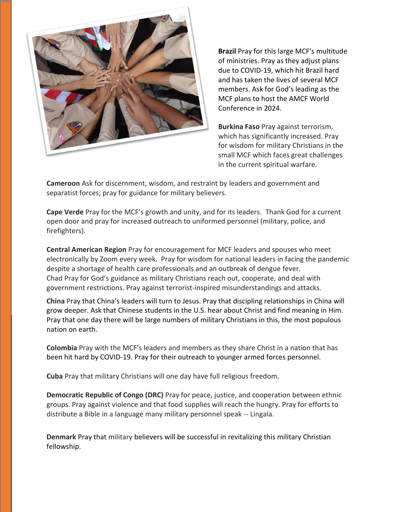

**Brazil** Pray for this large MCF's multitude of ministries. Pray as they adjust plans due to COVID-19, which hit Brazil hard and has taken the lives of several MCF members. Ask for God's leading as the MCF plans to host the AMCF World Conference in 2024.

**Burkina Faso** Pray against terrorism, which has significantly increased. Pray for wisdom for military Christians in the small MCF which faces great challenges in the current spiritual warfare.

**Cameroon** Ask for discernment, wisdom, and restraint by leaders and government and separatist forces; pray for guidance for military believers.

**Cape Verde** Pray for the MCF's growth and unity, and for its leaders. Thank God for a current open door and pray for increased outreach to uniformed personnel (military, police, and firefighters).

**Central American Region** Pray for encouragement for MCF leaders and spouses who meet electronically by Zoom every week. Pray for wisdom for national leaders in facing the pandemic despite a shortage of health care professionals and an outbreak of dengue fever. Chad Pray for God's guidance as military Christians reach out, cooperate, and deal with government restrictions. Pray against terrorist-inspired misunderstandings and attacks.

**China** Pray that China's leaders will turn to Jesus. Pray that discipling relationships in China will grow deeper. Ask that Chinese students in the U.S. hear about Christ and find meaning in Him. Pray that one day there will be large numbers of military Christians in this, the most populous nation on earth.

**Colombia** Pray with the MCF's leaders and members as they share Christ in a nation that has been hit hard by COVID-19. Pray for their outreach to younger armed forces personnel.

**Cuba** Pray that military Christians will one day have full religious freedom.

**Democratic Republic of Congo (DRC)** Pray for peace, justice, and cooperation between ethnic groups. Pray against violence and that food supplies will reach the hungry. Pray for efforts to distribute a Bible in a language many military personnel speak -- Lingala.

**Denmark** Pray that military believers will be successful in revitalizing this military Christian fellowship.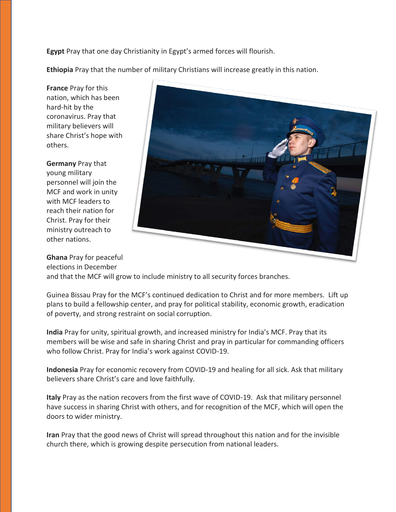**Egypt** Pray that one day Christianity in Egypt's armed forces will flourish.

**Ethiopia** Pray that the number of military Christians will increase greatly in this nation.

**France** Pray for this nation, which has been hard-hit by the coronavirus. Pray that military believers will share Christ's hope with others.

**Germany** Pray that young military personnel will join the MCF and work in unity with MCF leaders to reach their nation for Christ. Pray for their ministry outreach to other nations.



**Ghana** Pray for peaceful elections in December and that the MCF will grow to include ministry to all security forces branches.

Guinea Bissau Pray for the MCF's continued dedication to Christ and for more members. Lift up plans to build a fellowship center, and pray for political stability, economic growth, eradication of poverty, and strong restraint on social corruption.

**India** Pray for unity, spiritual growth, and increased ministry for India's MCF. Pray that its members will be wise and safe in sharing Christ and pray in particular for commanding officers who follow Christ. Pray for India's work against COVID-19.

**Indonesia** Pray for economic recovery from COVID-19 and healing for all sick. Ask that military believers share Christ's care and love faithfully.

**Italy** Pray as the nation recovers from the first wave of COVID-19. Ask that military personnel have success in sharing Christ with others, and for recognition of the MCF, which will open the doors to wider ministry.

**Iran** Pray that the good news of Christ will spread throughout this nation and for the invisible church there, which is growing despite persecution from national leaders.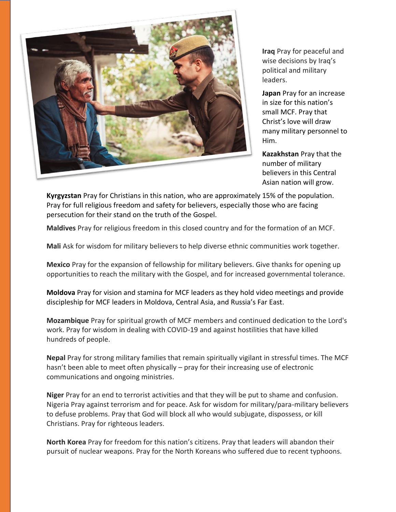

**Iraq** Pray for peaceful and wise decisions by Iraq's political and military leaders.

**Japan** Pray for an increase in size for this nation's small MCF. Pray that Christ's love will draw many military personnel to Him.

**Kazakhstan** Pray that the number of military believers in this Central Asian nation will grow.

**Kyrgyzstan** Pray for Christians in this nation, who are approximately 15% of the population. Pray for full religious freedom and safety for believers, especially those who are facing persecution for their stand on the truth of the Gospel.

**Maldives** Pray for religious freedom in this closed country and for the formation of an MCF.

**Mali** Ask for wisdom for military believers to help diverse ethnic communities work together.

**Mexico** Pray for the expansion of fellowship for military believers. Give thanks for opening up opportunities to reach the military with the Gospel, and for increased governmental tolerance.

**Moldova** Pray for vision and stamina for MCF leaders as they hold video meetings and provide discipleship for MCF leaders in Moldova, Central Asia, and Russia's Far East.

**Mozambique** Pray for spiritual growth of MCF members and continued dedication to the Lord's work. Pray for wisdom in dealing with COVID-19 and against hostilities that have killed hundreds of people.

**Nepal** Pray for strong military families that remain spiritually vigilant in stressful times. The MCF hasn't been able to meet often physically – pray for their increasing use of electronic communications and ongoing ministries.

**Niger** Pray for an end to terrorist activities and that they will be put to shame and confusion. Nigeria Pray against terrorism and for peace. Ask for wisdom for military/para-military believers to defuse problems. Pray that God will block all who would subjugate, dispossess, or kill Christians. Pray for righteous leaders.

**North Korea** Pray for freedom for this nation's citizens. Pray that leaders will abandon their pursuit of nuclear weapons. Pray for the North Koreans who suffered due to recent typhoons.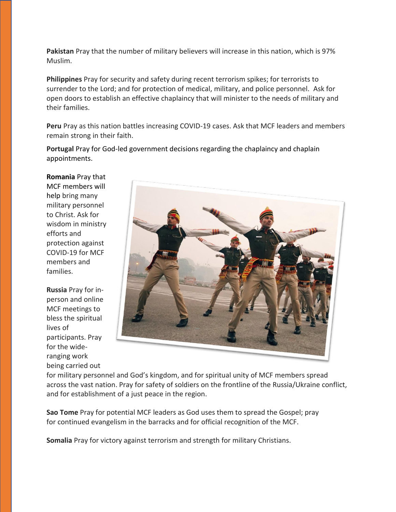**Pakistan** Pray that the number of military believers will increase in this nation, which is 97% Muslim.

**Philippines** Pray for security and safety during recent terrorism spikes; for terrorists to surrender to the Lord; and for protection of medical, military, and police personnel. Ask for open doors to establish an effective chaplaincy that will minister to the needs of military and their families.

**Peru** Pray as this nation battles increasing COVID-19 cases. Ask that MCF leaders and members remain strong in their faith.

**Portugal** Pray for God-led government decisions regarding the chaplaincy and chaplain appointments.

**Romania** Pray that MCF members will help bring many military personnel to Christ. Ask for wisdom in ministry efforts and protection against COVID-19 for MCF members and families.

**Russia** Pray for inperson and online MCF meetings to bless the spiritual lives of participants. Pray for the wideranging work being carried out



for military personnel and God's kingdom, and for spiritual unity of MCF members spread across the vast nation. Pray for safety of soldiers on the frontline of the Russia/Ukraine conflict, and for establishment of a just peace in the region.

**Sao Tome** Pray for potential MCF leaders as God uses them to spread the Gospel; pray for continued evangelism in the barracks and for official recognition of the MCF.

**Somalia** Pray for victory against terrorism and strength for military Christians.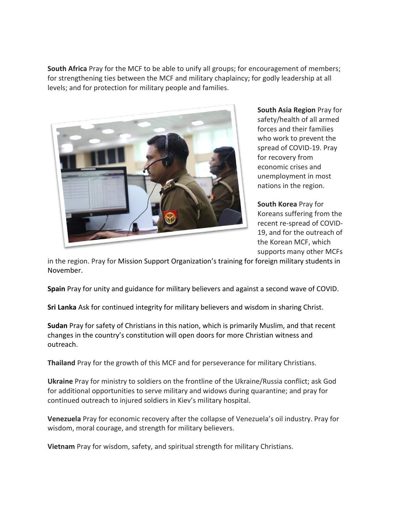**South Africa** Pray for the MCF to be able to unify all groups; for encouragement of members; for strengthening ties between the MCF and military chaplaincy; for godly leadership at all levels; and for protection for military people and families.



**South Asia Region** Pray for safety/health of all armed forces and their families who work to prevent the spread of COVID-19. Pray for recovery from economic crises and unemployment in most nations in the region.

**South Korea** Pray for Koreans suffering from the recent re-spread of COVID-19, and for the outreach of the Korean MCF, which supports many other MCFs

in the region. Pray for Mission Support Organization's training for foreign military students in November.

**Spain** Pray for unity and guidance for military believers and against a second wave of COVID.

**Sri Lanka** Ask for continued integrity for military believers and wisdom in sharing Christ.

**Sudan** Pray for safety of Christians in this nation, which is primarily Muslim, and that recent changes in the country's constitution will open doors for more Christian witness and outreach.

**Thailand** Pray for the growth of this MCF and for perseverance for military Christians.

**Ukraine** Pray for ministry to soldiers on the frontline of the Ukraine/Russia conflict; ask God for additional opportunities to serve military and widows during quarantine; and pray for continued outreach to injured soldiers in Kiev's military hospital.

**Venezuela** Pray for economic recovery after the collapse of Venezuela's oil industry. Pray for wisdom, moral courage, and strength for military believers.

**Vietnam** Pray for wisdom, safety, and spiritual strength for military Christians.